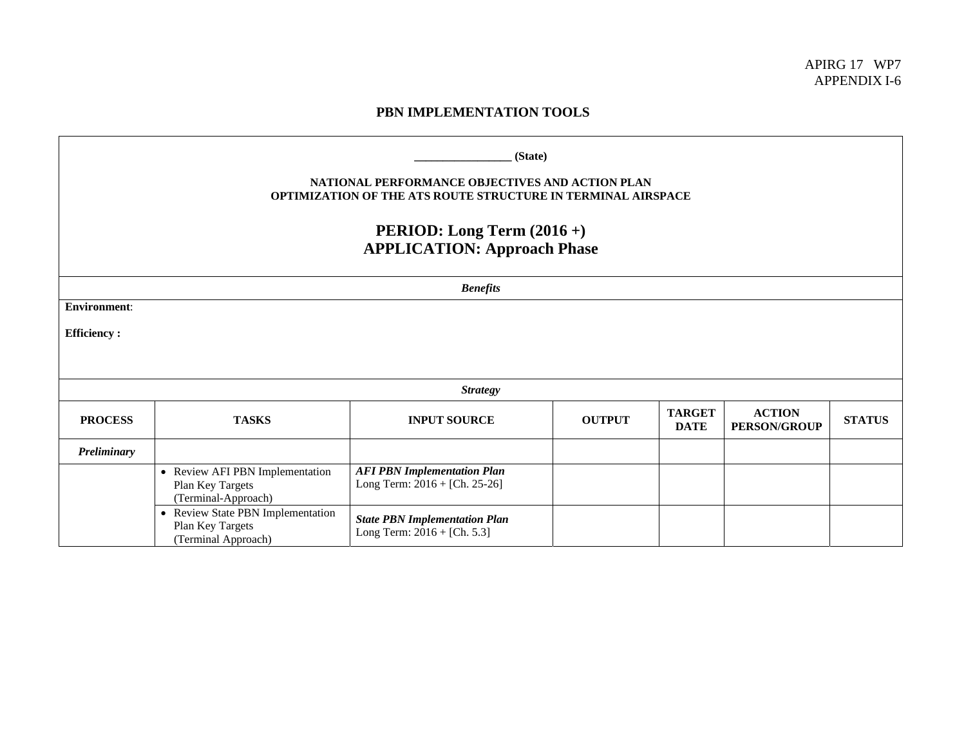## **PBN IMPLEMENTATION TOOLS**

| (State)<br><b>NATIONAL PERFORMANCE OBJECTIVES AND ACTION PLAN</b><br><b>OPTIMIZATION OF THE ATS ROUTE STRUCTURE IN TERMINAL AIRSPACE</b><br><b>PERIOD:</b> Long Term $(2016 +)$<br><b>APPLICATION: Approach Phase</b> |                                                                              |                                                                     |               |                              |                                      |               |  |
|-----------------------------------------------------------------------------------------------------------------------------------------------------------------------------------------------------------------------|------------------------------------------------------------------------------|---------------------------------------------------------------------|---------------|------------------------------|--------------------------------------|---------------|--|
| <b>Benefits</b>                                                                                                                                                                                                       |                                                                              |                                                                     |               |                              |                                      |               |  |
| <b>Environment:</b>                                                                                                                                                                                                   |                                                                              |                                                                     |               |                              |                                      |               |  |
| <b>Efficiency:</b>                                                                                                                                                                                                    |                                                                              |                                                                     |               |                              |                                      |               |  |
|                                                                                                                                                                                                                       |                                                                              |                                                                     |               |                              |                                      |               |  |
| <b>Strategy</b>                                                                                                                                                                                                       |                                                                              |                                                                     |               |                              |                                      |               |  |
| <b>PROCESS</b>                                                                                                                                                                                                        | <b>TASKS</b>                                                                 | <b>INPUT SOURCE</b>                                                 | <b>OUTPUT</b> | <b>TARGET</b><br><b>DATE</b> | <b>ACTION</b><br><b>PERSON/GROUP</b> | <b>STATUS</b> |  |
| Preliminary                                                                                                                                                                                                           |                                                                              |                                                                     |               |                              |                                      |               |  |
|                                                                                                                                                                                                                       | • Review AFI PBN Implementation<br>Plan Key Targets<br>(Terminal-Approach)   | <b>AFI PBN Implementation Plan</b><br>Long Term: 2016 + [Ch. 25-26] |               |                              |                                      |               |  |
|                                                                                                                                                                                                                       | • Review State PBN Implementation<br>Plan Key Targets<br>(Terminal Approach) | <b>State PBN Implementation Plan</b><br>Long Term: 2016 + [Ch. 5.3] |               |                              |                                      |               |  |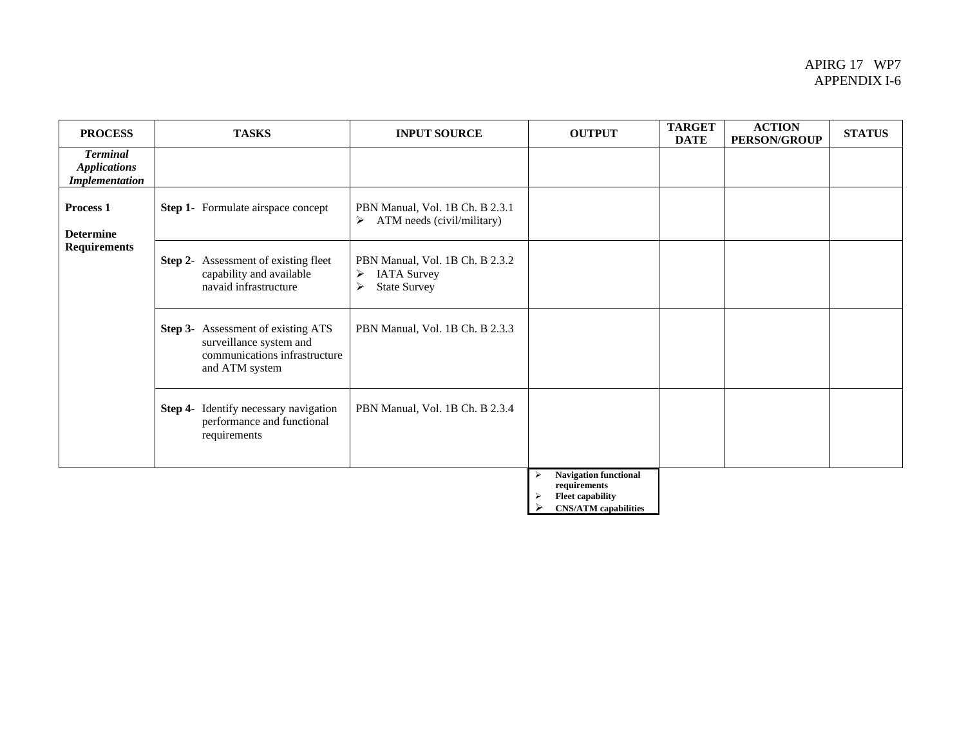## APIRG 17 WP7 APPENDIX I-6

| <b>PROCESS</b>                                                  | <b>TASKS</b>                                                                                                     | <b>INPUT SOURCE</b>                                                                                        | <b>OUTPUT</b>                                                    | <b>TARGET</b><br><b>DATE</b> | <b>ACTION</b><br><b>PERSON/GROUP</b> | <b>STATUS</b> |
|-----------------------------------------------------------------|------------------------------------------------------------------------------------------------------------------|------------------------------------------------------------------------------------------------------------|------------------------------------------------------------------|------------------------------|--------------------------------------|---------------|
| <b>Terminal</b><br><b>Applications</b><br><b>Implementation</b> |                                                                                                                  |                                                                                                            |                                                                  |                              |                                      |               |
| <b>Process 1</b><br><b>Determine</b><br><b>Requirements</b>     | Step 1- Formulate airspace concept                                                                               | PBN Manual, Vol. 1B Ch. B 2.3.1<br>ATM needs (civil/military)<br>➤                                         |                                                                  |                              |                                      |               |
|                                                                 | <b>Step 2-</b> Assessment of existing fleet<br>capability and available<br>navaid infrastructure                 | PBN Manual, Vol. 1B Ch. B 2.3.2<br><b>IATA Survey</b><br>➤<br><b>State Survey</b><br>$\blacktriangleright$ |                                                                  |                              |                                      |               |
|                                                                 | Step 3- Assessment of existing ATS<br>surveillance system and<br>communications infrastructure<br>and ATM system | PBN Manual, Vol. 1B Ch. B 2.3.3                                                                            |                                                                  |                              |                                      |               |
|                                                                 | Identify necessary navigation<br>Step 4-<br>performance and functional<br>requirements                           | PBN Manual, Vol. 1B Ch. B 2.3.4                                                                            |                                                                  |                              |                                      |               |
|                                                                 |                                                                                                                  |                                                                                                            | Navigation functional<br>requirements<br><b>Fleet capability</b> |                              |                                      |               |

¾ **CNS/ATM capabilities**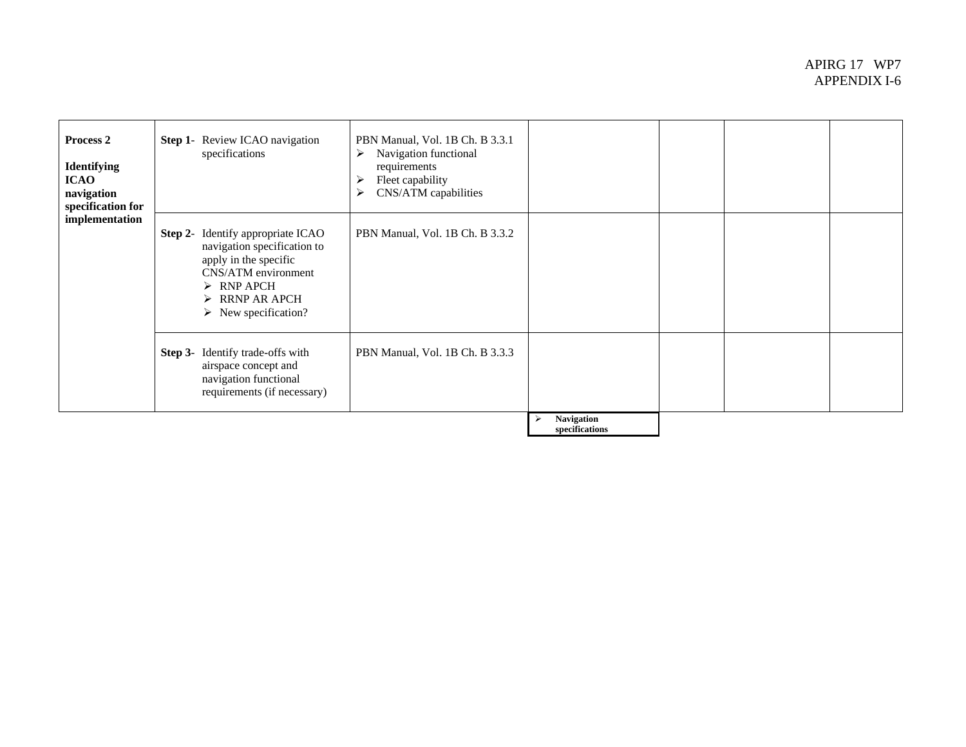## APIRG 17 WP7 APPENDIX I-6

| Process 2<br><b>Identifying</b><br><b>ICAO</b><br>navigation<br>specification for<br>implementation | <b>Step 1-</b> Review ICAO navigation<br>specifications                                                                                                                                                                      | PBN Manual, Vol. 1B Ch. B 3.3.1<br>Navigation functional<br>➤<br>requirements<br>Fleet capability<br>⋗<br>CNS/ATM capabilities<br>➤ |                              |  |  |
|-----------------------------------------------------------------------------------------------------|------------------------------------------------------------------------------------------------------------------------------------------------------------------------------------------------------------------------------|-------------------------------------------------------------------------------------------------------------------------------------|------------------------------|--|--|
|                                                                                                     | <b>Step 2-</b> Identify appropriate ICAO<br>navigation specification to<br>apply in the specific<br>CNS/ATM environment<br>$\triangleright$ RNP APCH<br>$\triangleright$ RRNP AR APCH<br>$\triangleright$ New specification? | PBN Manual, Vol. 1B Ch. B 3.3.2                                                                                                     |                              |  |  |
|                                                                                                     | <b>Step 3-</b> Identify trade-offs with<br>airspace concept and<br>navigation functional<br>requirements (if necessary)                                                                                                      | PBN Manual, Vol. 1B Ch. B 3.3.3                                                                                                     |                              |  |  |
|                                                                                                     |                                                                                                                                                                                                                              |                                                                                                                                     | Navigation<br>specifications |  |  |